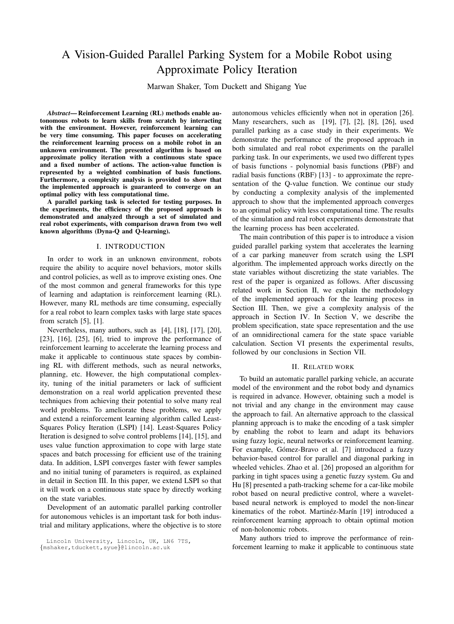# A Vision-Guided Parallel Parking System for a Mobile Robot using Approximate Policy Iteration

Marwan Shaker, Tom Duckett and Shigang Yue

*Abstract*— Reinforcement Learning (RL) methods enable autonomous robots to learn skills from scratch by interacting with the environment. However, reinforcement learning can be very time consuming. This paper focuses on accelerating the reinforcement learning process on a mobile robot in an unknown environment. The presented algorithm is based on approximate policy iteration with a continuous state space and a fixed number of actions. The action-value function is represented by a weighted combination of basis functions. Furthermore, a complexity analysis is provided to show that the implemented approach is guaranteed to converge on an optimal policy with less computational time.

A parallel parking task is selected for testing purposes. In the experiments, the efficiency of the proposed approach is demonstrated and analyzed through a set of simulated and real robot experiments, with comparison drawn from two well known algorithms (Dyna-Q and Q-learning).

#### I. INTRODUCTION

In order to work in an unknown environment, robots require the ability to acquire novel behaviors, motor skills and control policies, as well as to improve existing ones. One of the most common and general frameworks for this type of learning and adaptation is reinforcement learning (RL). However, many RL methods are time consuming, especially for a real robot to learn complex tasks with large state spaces from scratch [5], [1].

Nevertheless, many authors, such as [4], [18], [17], [20], [23], [16], [25], [6], tried to improve the performance of reinforcement learning to accelerate the learning process and make it applicable to continuous state spaces by combining RL with different methods, such as neural networks, planning, etc. However, the high computational complexity, tuning of the initial parameters or lack of sufficient demonstration on a real world application prevented these techniques from achieving their potential to solve many real world problems. To ameliorate these problems, we apply and extend a reinforcement learning algorithm called Least-Squares Policy Iteration (LSPI) [14]. Least-Squares Policy Iteration is designed to solve control problems [14], [15], and uses value function approximation to cope with large state spaces and batch processing for efficient use of the training data. In addition, LSPI converges faster with fewer samples and no initial tuning of parameters is required, as explained in detail in Section [III.](#page-1-0) In this paper, we extend LSPI so that it will work on a continuous state space by directly working on the state variables.

Development of an automatic parallel parking controller for autonomous vehicles is an important task for both industrial and military applications, where the objective is to store

Lincoln University, Lincoln, UK, LN6 7TS,

autonomous vehicles efficiently when not in operation [26]. Many researchers, such as [19], [7], [2], [8], [26], used parallel parking as a case study in their experiments. We demonstrate the performance of the proposed approach in both simulated and real robot experiments on the parallel parking task. In our experiments, we used two different types of basis functions - polynomial basis functions (PBF) and radial basis functions (RBF) [13] - to approximate the representation of the Q-value function. We continue our study by conducting a complexity analysis of the implemented approach to show that the implemented approach converges to an optimal policy with less computational time. The results of the simulation and real robot experiments demonstrate that the learning process has been accelerated.

The main contribution of this paper is to introduce a vision guided parallel parking system that accelerates the learning of a car parking maneuver from scratch using the LSPI algorithm. The implemented approach works directly on the state variables without discretizing the state variables. The rest of the paper is organized as follows. After discussing related work in Section [II,](#page-0-0) we explain the methodology of the implemented approach for the learning process in Section [III.](#page-1-0) Then, we give a complexity analysis of the approach in Section [IV.](#page-2-0) In Section [V,](#page-3-0) we describe the problem specification, state space representation and the use of an omnidirectional camera for the state space variable calculation. Section [VI](#page-5-0) presents the experimental results, followed by our conclusions in Section [VII.](#page-7-0)

#### II. RELATED WORK

<span id="page-0-0"></span>To build an automatic parallel parking vehicle, an accurate model of the environment and the robot body and dynamics is required in advance. However, obtaining such a model is not trivial and any change in the environment may cause the approach to fail. An alternative approach to the classical planning approach is to make the encoding of a task simpler by enabling the robot to learn and adapt its behaviors using fuzzy logic, neural networks or reinforcement learning. For example, Gómez-Bravo et al. [7] introduced a fuzzy behavior-based control for parallel and diagonal parking in wheeled vehicles. Zhao et al. [26] proposed an algorithm for parking in tight spaces using a genetic fuzzy system. Gu and Hu [8] presented a path-tracking scheme for a car-like mobile robot based on neural predictive control, where a waveletbased neural network is employed to model the non-linear kinematics of the robot. Martinéz-Marín [19] introduced a reinforcement learning approach to obtain optimal motion of non-holonomic robots.

Many authors tried to improve the performance of reinforcement learning to make it applicable to continuous state

<sup>{</sup>mshaker,tduckett,syue}@lincoln.ac.uk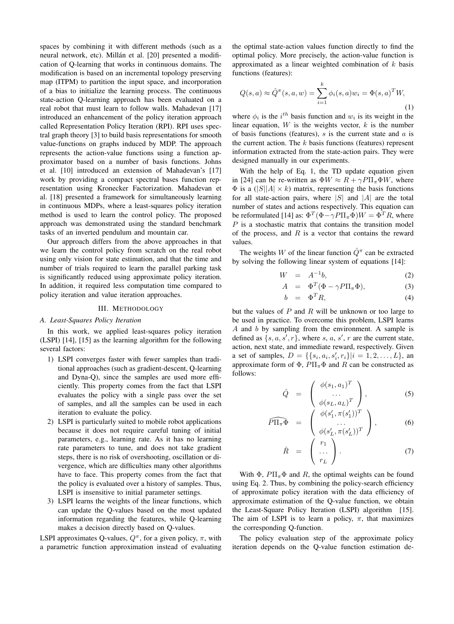spaces by combining it with different methods (such as a neural network, etc). Millán et al. [20] presented a modification of Q-learning that works in continuous domains. The modification is based on an incremental topology preserving map (ITPM) to partition the input space, and incorporation of a bias to initialize the learning process. The continuous state-action Q-learning approach has been evaluated on a real robot that must learn to follow walls. Mahadevan [17] introduced an enhancement of the policy iteration approach called Representation Policy Iteration (RPI). RPI uses spectral graph theory [3] to build basis representations for smooth value-functions on graphs induced by MDP. The approach represents the action-value functions using a function approximator based on a number of basis functions. Johns et al. [10] introduced an extension of Mahadevan's [17] work by providing a compact spectral bases function representation using Kronecker Factorization. Mahadevan et al. [18] presented a framework for simultaneously learning in continuous MDPs, where a least-squares policy iteration method is used to learn the control policy. The proposed approach was demonstrated using the standard benchmark tasks of an inverted pendulum and mountain car.

Our approach differs from the above approaches in that we learn the control policy from scratch on the real robot using only vision for state estimation, and that the time and number of trials required to learn the parallel parking task is significantly reduced using approximate policy iteration. In addition, it required less computation time compared to policy iteration and value iteration approaches.

#### III. METHODOLOGY

## <span id="page-1-0"></span>*A. Least-Squares Policy Iteration*

In this work, we applied least-squares policy iteration (LSPI) [14], [15] as the learning algorithm for the following several factors:

- 1) LSPI converges faster with fewer samples than traditional approaches (such as gradient-descent, Q-learning and Dyna-Q), since the samples are used more efficiently. This property comes from the fact that LSPI evaluates the policy with a single pass over the set of samples, and all the samples can be used in each iteration to evaluate the policy.
- 2) LSPI is particularly suited to mobile robot applications because it does not require careful tuning of initial parameters, e.g., learning rate. As it has no learning rate parameters to tune, and does not take gradient steps, there is no risk of overshooting, oscillation or divergence, which are difficulties many other algorithms have to face. This property comes from the fact that the policy is evaluated over a history of samples. Thus, LSPI is insensitive to initial parameter settings.
- 3) LSPI learns the weights of the linear functions, which can update the Q-values based on the most updated information regarding the features, while Q-learning makes a decision directly based on Q-values.

LSPI approximates Q-values,  $Q^{\pi}$ , for a given policy,  $\pi$ , with a parametric function approximation instead of evaluating the optimal state-action values function directly to find the optimal policy. More precisely, the action-value function is approximated as a linear weighted combination of  $k$  basis functions (features):

<span id="page-1-1"></span>
$$
Q(s, a) \approx \hat{Q}^{\pi}(s, a, w) = \sum_{i=1}^{k} \phi_i(s, a) w_i = \Phi(s, a)^T W,
$$
\n(1)

where  $\phi_i$  is the  $i^{th}$  basis function and  $w_i$  is its weight in the linear equation,  $W$  is the weights vector,  $k$  is the number of basis functions (features),  $s$  is the current state and  $a$  is the current action. The  $k$  basis functions (features) represent information extracted from the state-action pairs. They were designed manually in our experiments.

With the help of Eq. [1,](#page-1-1) the TD update equation given in [24] can be re-written as  $\Phi W \approx R + \gamma P \Pi_{\pi} \Phi W$ , where  $\Phi$  is a (|S||A|  $\times$  k) matrix, representing the basis functions for all state-action pairs, where  $|S|$  and  $|A|$  are the total number of states and actions respectively. This equation can be reformulated [14] as:  $\Phi^T(\Phi - \gamma P \Pi_{\pi} \Phi) W = \Phi^T R$ , where  $P$  is a stochastic matrix that contains the transition model of the process, and  $R$  is a vector that contains the reward values.

The weights W of the linear function  $\hat{Q}^{\pi}$  can be extracted by solving the following linear system of equations [14]:

$$
W = A^{-1}b,\t\t(2)
$$

<span id="page-1-2"></span>
$$
A = \Phi^T (\Phi - \gamma P \Pi_\pi \Phi), \tag{3}
$$

$$
b = \Phi^T R, \tag{4}
$$

but the values of  $P$  and  $R$  will be unknown or too large to be used in practice. To overcome this problem, LSPI learns A and b by sampling from the environment. A sample is defined as  $\{s, a, s', r\}$ , where s, a, s', r are the current state, action, next state, and immediate reward, respectively. Given a set of samples,  $D = \{\{s_i, a_i, s'_i, r_i\} | i = 1, 2, ..., L\}$ , an approximate form of  $\Phi$ ,  $P\Pi_{\pi}\Phi$  and R can be constructed as follows:

$$
\hat{Q} = \begin{pmatrix} \phi(s_1, a_1)^T \\ \cdots \\ \phi(s_L, a_L)^T \end{pmatrix}, \tag{5}
$$

$$
\widehat{P\Pi_{\pi}\Phi} = \begin{pmatrix} \phi(s'_1, \pi(s'_1))^T \\ \dots \\ \phi(s'_L, \pi(s'_L))^T \end{pmatrix}, \quad (6)
$$

$$
\hat{R} = \begin{pmatrix} r_1 \\ \cdots \\ r_L \end{pmatrix}.
$$
 (7)

With  $\Phi$ ,  $P\Pi_{\pi}\Phi$  and R, the optimal weights can be found using Eq. [2.](#page-1-2) Thus, by combining the policy-search efficiency of approximate policy iteration with the data efficiency of approximate estimation of the Q-value function, we obtain the Least-Square Policy Iteration (LSPI) algorithm [15]. The aim of LSPI is to learn a policy,  $\pi$ , that maximizes the corresponding Q-function.

The policy evaluation step of the approximate policy iteration depends on the Q-value function estimation de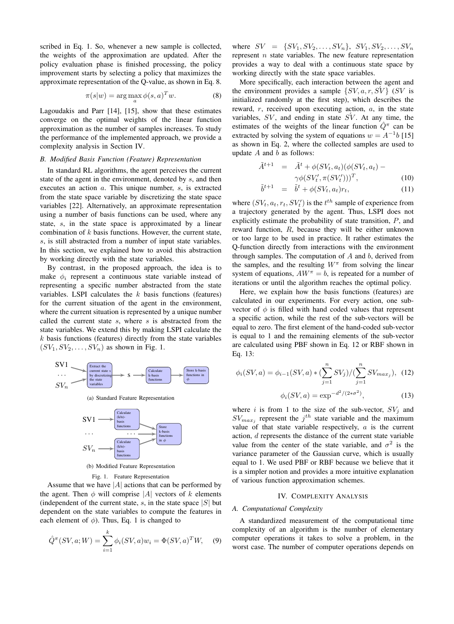scribed in Eq. [1.](#page-1-1) So, whenever a new sample is collected, the weights of the approximation are updated. After the policy evaluation phase is finished processing, the policy improvement starts by selecting a policy that maximizes the approximate representation of the Q-value, as shown in Eq. [8.](#page-2-1)

<span id="page-2-1"></span>
$$
\pi(s|w) = \arg\max_{a} \phi(s, a)^T w.
$$
 (8)

Lagoudakis and Parr [14], [15], show that these estimates converge on the optimal weights of the linear function approximation as the number of samples increases. To study the performance of the implemented approach, we provide a complexity analysis in Section [IV.](#page-2-0)

## *B. Modified Basis Function (Feature) Representation*

In standard RL algorithms, the agent perceives the current state of the agent in the environment, denoted by s, and then executes an action a. This unique number, s, is extracted from the state space variable by discretizing the state space variables [22]. Alternatively, an approximate representation using a number of basis functions can be used, where any state, s, in the state space is approximated by a linear combination of  $k$  basis functions. However, the current state, s, is still abstracted from a number of input state variables. In this section, we explained how to avoid this abstraction by working directly with the state variables.

By contrast, in the proposed approach, the idea is to make  $\phi_i$  represent a continuous state variable instead of representing a specific number abstracted from the state variables. LSPI calculates the  $k$  basis functions (features) for the current situation of the agent in the environment, where the current situation is represented by a unique number called the current state  $s$ , where  $s$  is abstracted from the state variables. We extend this by making LSPI calculate the  $k$  basis functions (features) directly from the state variables  $(SV_1, SV_2, \ldots, SV_n)$  as shown in Fig. [1.](#page-2-2)





(b) Modified Feature Representation

# <span id="page-2-2"></span>Fig. 1. Feature Representation

Assume that we have  $|A|$  actions that can be performed by the agent. Then  $\phi$  will comprise |A| vectors of k elements (independent of the current state, s, in the state space  $|S|$  but dependent on the state variables to compute the features in each element of  $\phi$ ). Thus, Eq. [1](#page-1-1) is changed to

$$
\hat{Q}^{\pi}(SV, a; W) = \sum_{i=1}^{k} \phi_i(SV, a) w_i = \Phi(SV, a)^T W, \quad (9)
$$

where  $SV = \{SV_1, SV_2, \ldots, SV_n\}, SV_1, SV_2, \ldots, SV_n$ represent  $n$  state variables. The new feature representation provides a way to deal with a continuous state space by working directly with the state space variables.

More specifically, each interaction between the agent and the environment provides a sample  $\{SV, a, r, SV\}$  (SV is initialized randomly at the first step), which describes the reward,  $r$ , received upon executing action,  $a$ , in the state variables,  $SV$ , and ending in state  $S\dot{V}$ . At any time, the estimates of the weights of the linear function  $\hat{Q}^{\pi}$  can be extracted by solving the system of equations  $w = A^{-1}b$  [15] as shown in Eq. [2,](#page-1-2) where the collected samples are used to update  $A$  and  $b$  as follows:

<span id="page-2-5"></span>
$$
\tilde{A}^{t+1} = \tilde{A}^t + \phi(SV_t, a_t)(\phi(SV_t, a_t) - \gamma\phi(SV'_t, \pi(SV'_t)))^T, \tag{10}
$$

$$
\tilde{b}^{t+1} = \tilde{b}^t + \phi(SV_t, a_t)r_t, \qquad (11)
$$

where  $(SV_t, a_t, r_t, SV'_t)$  is the  $t^{th}$  sample of experience from a trajectory generated by the agent. Thus, LSPI does not explicitly estimate the probability of state transition, P, and reward function, R, because they will be either unknown or too large to be used in practice. It rather estimates the Q-function directly from interactions with the environment through samples. The computation of  $A$  and  $b$ , derived from the samples, and the resulting  $W^{\pi}$  from solving the linear system of equations,  $AW^{\pi} = b$ , is repeated for a number of iterations or until the algorithm reaches the optimal policy.

Here, we explain how the basis functions (features) are calculated in our experiments. For every action, one subvector of  $\phi$  is filled with hand coded values that represent a specific action, while the rest of the sub-vectors will be equal to zero. The first element of the hand-coded sub-vector is equal to 1 and the remaining elements of the sub-vector are calculated using PBF shown in Eq. [12](#page-2-3) or RBF shown in Eq. [13:](#page-2-4)

<span id="page-2-4"></span><span id="page-2-3"></span>
$$
\phi_i(SV, a) = \phi_{i-1}(SV, a) * (\sum_{j=1}^n SV_j) / (\sum_{j=1}^n SV_{max_j}), \quad (12)
$$

$$
\phi_i(SV, a) = \exp^{-d^2/(2*\sigma^2)}, \quad (13)
$$

where i is from 1 to the size of the sub-vector,  $SV_i$  and  $SV_{max_j}$  represent the  $j^{th}$  state variable and the maximum value of that state variable respectively,  $a$  is the current action, d represents the distance of the current state variable value from the center of the state variable, and  $\sigma^2$  is the variance parameter of the Gaussian curve, which is usually equal to 1. We used PBF or RBF because we believe that it is a simpler notion and provides a more intuitive explanation of various function approximation schemes.

## IV. COMPLEXITY ANALYSIS

#### <span id="page-2-0"></span>*A. Computational Complexity*

A standardized measurement of the computational time complexity of an algorithm is the number of elementary computer operations it takes to solve a problem, in the worst case. The number of computer operations depends on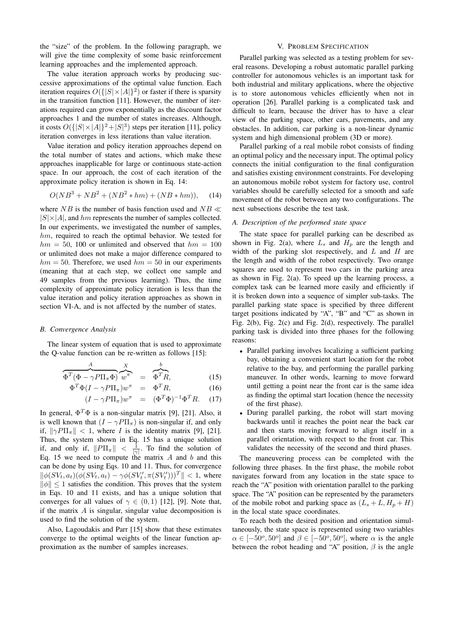the "size" of the problem. In the following paragraph, we will give the time complexity of some basic reinforcement learning approaches and the implemented approach.

The value iteration approach works by producing successive approximations of the optimal value function. Each iteration requires  $O({\{|S| \times |A|\}}^2)$  or faster if there is sparsity in the transition function [11]. However, the number of iterations required can grow exponentially as the discount factor approaches 1 and the number of states increases. Although, it costs  $O({\left\{|S| \times |A|\right\}}^2 + |S|^3)$  steps per iteration [11], policy iteration converges in less iterations than value iteration.

Value iteration and policy iteration approaches depend on the total number of states and actions, which make these approaches inapplicable for large or continuous state-action space. In our approach, the cost of each iteration of the approximate policy iteration is shown in Eq. [14:](#page-3-1)

<span id="page-3-1"></span>
$$
O(NB3 + NB2 + (NB2 * hm) + (NB * hm)), (14)
$$

where NB is the number of basis function used and  $NB \ll$  $|S|\times|A|$ , and hm represents the number of samples collected. In our experiments, we investigated the number of samples, hm, required to reach the optimal behavior. We tested for  $hm = 50$ , 100 or unlimited and observed that  $hm = 100$ or unlimited does not make a major difference compared to  $hm = 50$ . Therefore, we used  $hm = 50$  in our experiments (meaning that at each step, we collect one sample and 49 samples from the previous learning). Thus, the time complexity of approximate policy iteration is less than the value iteration and policy iteration approaches as shown in section [VI-A,](#page-6-0) and is not affected by the number of states.

## *B. Convergence Analysis*

The linear system of equation that is used to approximate the Q-value function can be re-written as follows [15]:

$$
\overbrace{\Phi^T(\Phi - \gamma P \Pi_\pi \Phi)}^{\mathcal{A}} \overbrace{w^\pi}^X = \overbrace{\Phi^T R}^b, \tag{15}
$$

<span id="page-3-2"></span>
$$
\Phi^T \Phi (I - \gamma P \Pi_\pi) w^\pi = \Phi^T R, \tag{16}
$$

$$
(I - \gamma P \Pi_{\pi}) w^{\pi} = (\Phi^T \Phi)^{-1} \Phi^T R. \quad (17)
$$

In general,  $\Phi^T \Phi$  is a non-singular matrix [9], [21]. Also, it is well known that  $(I - \gamma P\Pi_{\pi})$  is non-singular if, and only if,  $\|\gamma P\Pi_\pi\| < 1$ , where *I* is the identity matrix [9], [21]. Thus, the system shown in Eq. [15](#page-3-2) has a unique solution if, and only if,  $||P\Pi_{\pi}|| < \frac{1}{|\gamma|}$ . To find the solution of Eq. [15](#page-3-2) we need to compute the matrix  $A$  and  $b$  and this can be done by using Eqs. [10](#page-2-5) and [11.](#page-2-5) Thus, for convergence  $\|\phi(SV_t, a_t)(\phi(SV_t, a_t) - \gamma\phi(SV'_t, \pi(SV'_t)))^T\| < 1$ , where  $\|\phi\|$  < 1 satisfies the condition. This proves that the system in Eqs. [10](#page-2-5) and [11](#page-2-5) exists, and has a unique solution that converges for all values of  $\gamma \in (0, 1)$  [12], [9]. Note that, if the matrix  $A$  is singular, singular value decomposition is used to find the solution of the system.

Also, Lagoudakis and Parr [15] show that these estimates converge to the optimal weights of the linear function approximation as the number of samples increases.

## V. PROBLEM SPECIFICATION

<span id="page-3-0"></span>Parallel parking was selected as a testing problem for several reasons. Developing a robust automatic parallel parking controller for autonomous vehicles is an important task for both industrial and military applications, where the objective is to store autonomous vehicles efficiently when not in operation [26]. Parallel parking is a complicated task and difficult to learn, because the driver has to have a clear view of the parking space, other cars, pavements, and any obstacles. In addition, car parking is a non-linear dynamic system and high dimensional problem (3D or more).

Parallel parking of a real mobile robot consists of finding an optimal policy and the necessary input. The optimal policy connects the initial configuration to the final configuration and satisfies existing environment constraints. For developing an autonomous mobile robot system for factory use, control variables should be carefully selected for a smooth and safe movement of the robot between any two configurations. The next subsections describe the test task.

## <span id="page-3-3"></span>*A. Description of the performed state space*

The state space for parallel parking can be described as shown in Fig. [2\(a\),](#page-4-0) where  $L<sub>s</sub>$  and  $H<sub>p</sub>$  are the length and width of the parking slot respectively, and  $L$  and  $H$  are the length and width of the robot respectively. Two orange squares are used to represent two cars in the parking area as shown in Fig. [2\(a\).](#page-4-0) To speed up the learning process, a complex task can be learned more easily and efficiently if it is broken down into a sequence of simpler sub-tasks. The parallel parking state space is specified by three different target positions indicated by "A", "B" and "C" as shown in Fig. [2\(b\),](#page-4-1) Fig. [2\(c\)](#page-4-2) and Fig. [2\(d\),](#page-4-3) respectively. The parallel parking task is divided into three phases for the following reasons:

- Parallel parking involves localizing a sufficient parking bay, obtaining a convenient start location for the robot relative to the bay, and performing the parallel parking maneuver. In other words, learning to move forward until getting a point near the front car is the same idea as finding the optimal start location (hence the necessity of the first phase).
- During parallel parking, the robot will start moving backwards until it reaches the point near the back car and then starts moving forward to align itself in a parallel orientation, with respect to the front car. This validates the necessity of the second and third phases.

The maneuvering process can be completed with the following three phases. In the first phase, the mobile robot navigates forward from any location in the state space to reach the "A" position with orientation parallel to the parking space. The "A" position can be represented by the parameters of the mobile robot and parking space as  $(L_s + L, H_p + H)$ in the local state space coordinates.

To reach both the desired position and orientation simultaneously, the state space is represented using two variables  $\alpha \in [-50^{\circ}, 50^{\circ}]$  and  $\beta \in [-50^{\circ}, 50^{\circ}]$ , where  $\alpha$  is the angle between the robot heading and "A" position,  $\beta$  is the angle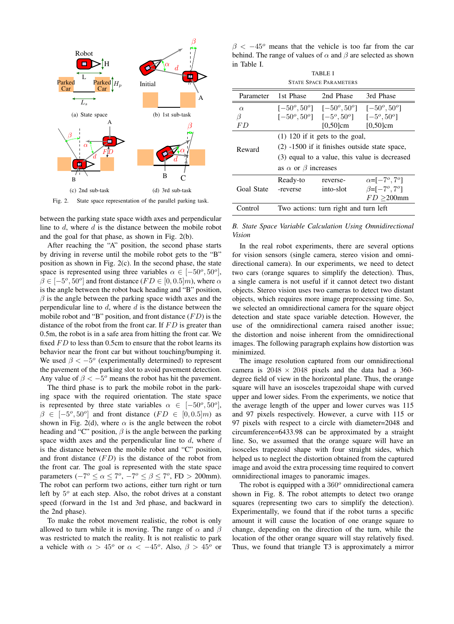<span id="page-4-1"></span><span id="page-4-0"></span>

<span id="page-4-3"></span><span id="page-4-2"></span>Fig. 2. State space representation of the parallel parking task.

between the parking state space width axes and perpendicular line to  $d$ , where  $d$  is the distance between the mobile robot and the goal for that phase, as shown in Fig. [2\(b\).](#page-4-1)

After reaching the "A" position, the second phase starts by driving in reverse until the mobile robot gets to the "B" position as shown in Fig. [2\(c\).](#page-4-2) In the second phase, the state space is represented using three variables  $\alpha \in [-50^{\circ}, 50^{\circ}],$  $\beta \in [-5^{\circ}, 50^{\circ}]$  and front distance ( $FD \in [0, 0.5]$ m), where  $\alpha$ is the angle between the robot back heading and "B" position,  $\beta$  is the angle between the parking space width axes and the perpendicular line to  $d$ , where  $d$  is the distance between the mobile robot and "B" position, and front distance  $(FD)$  is the distance of the robot from the front car. If  $FD$  is greater than 0.5m, the robot is in a safe area from hitting the front car. We fixed  $FD$  to less than 0.5cm to ensure that the robot learns its behavior near the front car but without touching/bumping it. We used  $\beta < -5^{\circ}$  (experimentally determined) to represent the pavement of the parking slot to avoid pavement detection. Any value of  $\beta < -5^{\circ}$  means the robot has hit the pavement.

The third phase is to park the mobile robot in the parking space with the required orientation. The state space is represented by three state variables  $\alpha \in [-50^{\circ}, 50^{\circ}],$  $\beta \in [-5^{\circ}, 50^{\circ}]$  and front distance  $(FD \in [0, 0.5]m)$  as shown in Fig. [2\(d\),](#page-4-3) where  $\alpha$  is the angle between the robot heading and "C" position,  $\beta$  is the angle between the parking space width axes and the perpendicular line to  $d$ , where  $d$ is the distance between the mobile robot and "C" position, and front distance  $(FD)$  is the distance of the robot from the front car. The goal is represented with the state space parameters  $(-7^{\circ} \le \alpha \le 7^{\circ}, -7^{\circ} \le \beta \le 7^{\circ}, \text{FD} > 200 \text{mm}).$ The robot can perform two actions, either turn right or turn left by  $5^{\circ}$  at each step. Also, the robot drives at a constant speed (forward in the 1st and 3rd phase, and backward in the 2nd phase).

To make the robot movement realistic, the robot is only allowed to turn while it is moving. The range of  $\alpha$  and  $\beta$ was restricted to match the reality. It is not realistic to park a vehicle with  $\alpha > 45^{\circ}$  or  $\alpha < -45^{\circ}$ . Also,  $\beta > 45^{\circ}$  or

 $\beta$  <  $-45^{\circ}$  means that the vehicle is too far from the car behind. The range of values of  $\alpha$  and  $\beta$  are selected as shown in Table [I.](#page-4-4)

TABLE I STATE SPACE PARAMETERS

<span id="page-4-4"></span>

| Parameter  | 1st Phase                                       | 2nd Phase                                                                         | 3rd Phase                          |  |  |
|------------|-------------------------------------------------|-----------------------------------------------------------------------------------|------------------------------------|--|--|
| $\alpha$   | $[-50^o, 50^o]$                                 | $[-50^o, 50^o]$                                                                   | $[-50^o, 50^o]$                    |  |  |
| $\beta$    |                                                 | $[-50^{\circ}, 50^{\circ}]$ $[-5^{\circ}, 50^{\circ}]$ $[-5^{\circ}, 50^{\circ}]$ |                                    |  |  |
| F D        |                                                 | $[0,50]$ cm                                                                       | $[0,50]$ cm                        |  |  |
|            | $(1)$ 120 if it gets to the goal,               |                                                                                   |                                    |  |  |
| Reward     | $(2)$ -1500 if it finishes outside state space, |                                                                                   |                                    |  |  |
|            | (3) equal to a value, this value is decreased   |                                                                                   |                                    |  |  |
|            | as $\alpha$ or $\beta$ increases                |                                                                                   |                                    |  |  |
| Goal State | Ready-to                                        | reverse-                                                                          | $\alpha = [-7^{\circ}, 7^{\circ}]$ |  |  |
|            | -reverse                                        | into-slot                                                                         | $\beta = [-7^{\circ}, 7^{\circ}]$  |  |  |
|            |                                                 |                                                                                   | $FD \geq 200$ mm                   |  |  |
| Control    | Two actions: turn right and turn left           |                                                                                   |                                    |  |  |
|            |                                                 |                                                                                   |                                    |  |  |

*B. State Space Variable Calculation Using Omnidirectional Vision*

In the real robot experiments, there are several options for vision sensors (single camera, stereo vision and omnidirectional camera). In our experiments, we need to detect two cars (orange squares to simplify the detection). Thus, a single camera is not useful if it cannot detect two distant objects. Stereo vision uses two cameras to detect two distant objects, which requires more image preprocessing time. So, we selected an omnidirectional camera for the square object detection and state space variable detection. However, the use of the omnidirectional camera raised another issue; the distortion and noise inherent from the omnidirectional images. The following paragraph explains how distortion was minimized.

The image resolution captured from our omnidirectional camera is  $2048 \times 2048$  pixels and the data had a 360degree field of view in the horizontal plane. Thus, the orange square will have an isosceles trapezoidal shape with curved upper and lower sides. From the experiments, we notice that the average length of the upper and lower curves was 115 and 97 pixels respectively. However, a curve with 115 or 97 pixels with respect to a circle with diameter=2048 and circumference=6433.98 can be approximated by a straight line. So, we assumed that the orange square will have an isosceles trapezoid shape with four straight sides, which helped us to neglect the distortion obtained from the captured image and avoid the extra processing time required to convert omnidirectional images to panoramic images.

The robot is equipped with a  $360^\circ$  omnidirectional camera shown in Fig. [8.](#page-7-1) The robot attempts to detect two orange squares (representing two cars to simplify the detection). Experimentally, we found that if the robot turns a specific amount it will cause the location of one orange square to change, depending on the direction of the turn, while the location of the other orange square will stay relatively fixed. Thus, we found that triangle T3 is approximately a mirror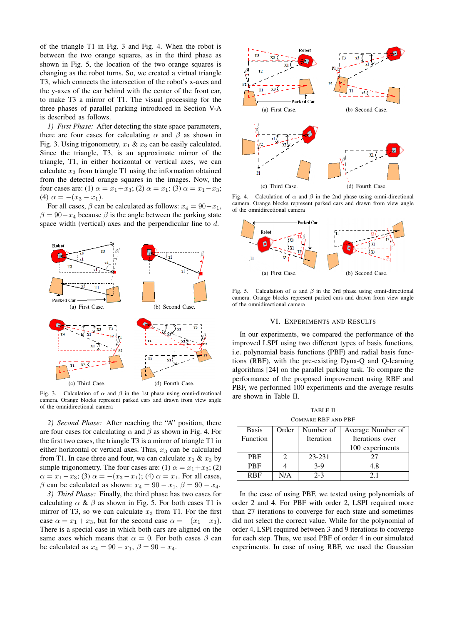of the triangle T1 in Fig. [3](#page-5-1) and Fig. [4.](#page-5-2) When the robot is between the two orange squares, as in the third phase as shown in Fig. [5,](#page-5-3) the location of the two orange squares is changing as the robot turns. So, we created a virtual triangle T3, which connects the intersection of the robot's x-axes and the y-axes of the car behind with the center of the front car, to make T3 a mirror of T1. The visual processing for the three phases of parallel parking introduced in Section [V-A](#page-3-3) is described as follows.

*1) First Phase:* After detecting the state space parameters, there are four cases for calculating  $\alpha$  and  $\beta$  as shown in Fig. [3.](#page-5-1) Using trigonometry,  $x_1 \& x_3$  can be easily calculated. Since the triangle, T3, is an approximate mirror of the triangle, T1, in either horizontal or vertical axes, we can calculate  $x_3$  from triangle T1 using the information obtained from the detected orange squares in the images. Now, the four cases are: (1)  $\alpha = x_1 + x_3$ ; (2)  $\alpha = x_1$ ; (3)  $\alpha = x_1 - x_3$ ; (4)  $\alpha = -(x_3 - x_1)$ .

For all cases,  $\beta$  can be calculated as follows:  $x_4 = 90 - x_1$ ,  $\beta = 90 - x_4$  because  $\beta$  is the angle between the parking state space width (vertical) axes and the perpendicular line to d.



<span id="page-5-1"></span>Fig. 3. Calculation of  $\alpha$  and  $\beta$  in the 1st phase using omni-directional camera. Orange blocks represent parked cars and drawn from view angle of the omnidirectional camera

*2) Second Phase:* After reaching the "A" position, there are four cases for calculating  $\alpha$  and  $\beta$  as shown in Fig. [4.](#page-5-2) For the first two cases, the triangle T3 is a mirror of triangle T1 in either horizontal or vertical axes. Thus,  $x_3$  can be calculated from T1. In case three and four, we can calculate  $x_1 \& x_3$  by simple trigonometry. The four cases are: (1)  $\alpha = x_1 + x_3$ ; (2)  $\alpha = x_1 - x_3$ ; (3)  $\alpha = -(x_3 - x_1)$ ; (4)  $\alpha = x_1$ . For all cases,  $\beta$  can be calculated as shown:  $x_4 = 90 - x_1$ ,  $\beta = 90 - x_4$ .

*3) Third Phase:* Finally, the third phase has two cases for calculating  $\alpha \& \beta$  as shown in Fig. [5.](#page-5-3) For both cases T1 is mirror of T3, so we can calculate  $x_3$  from T1. For the first case  $\alpha = x_1 + x_3$ , but for the second case  $\alpha = -(x_1 + x_3)$ . There is a special case in which both cars are aligned on the same axes which means that  $\alpha = 0$ . For both cases  $\beta$  can be calculated as  $x_4 = 90 - x_1$ ,  $\beta = 90 - x_4$ .



<span id="page-5-2"></span>Fig. 4. Calculation of  $\alpha$  and  $\beta$  in the 2nd phase using omni-directional camera. Orange blocks represent parked cars and drawn from view angle of the omnidirectional camera



<span id="page-5-3"></span>Fig. 5. Calculation of  $\alpha$  and  $\beta$  in the 3rd phase using omni-directional camera. Orange blocks represent parked cars and drawn from view angle of the omnidirectional camera

## VI. EXPERIMENTS AND RESULTS

<span id="page-5-0"></span>In our experiments, we compared the performance of the improved LSPI using two different types of basis functions, i.e. polynomial basis functions (PBF) and radial basis functions (RBF), with the pre-existing Dyna-Q and Q-learning algorithms [24] on the parallel parking task. To compare the performance of the proposed improvement using RBF and PBF, we performed 100 experiments and the average results are shown in Table [II.](#page-5-4)

TABLE II COMPARE RBF AND PBF

<span id="page-5-4"></span>

| <b>Basis</b>            | Order | Number of        | Average Number of |  |
|-------------------------|-------|------------------|-------------------|--|
| Function                |       | <b>Iteration</b> | Iterations over   |  |
|                         |       |                  | 100 experiments   |  |
| <b>PBF</b>              |       | 23-231           | 77                |  |
| <b>PBF</b>              |       | $3-9$            | 4.8               |  |
| <b>R</b> <sub>R</sub> F | N/A   | $2 - 3$          | 21                |  |

In the case of using PBF, we tested using polynomials of order 2 and 4. For PBF with order 2, LSPI required more than 27 iterations to converge for each state and sometimes did not select the correct value. While for the polynomial of order 4, LSPI required between 3 and 9 iterations to converge for each step. Thus, we used PBF of order 4 in our simulated experiments. In case of using RBF, we used the Gaussian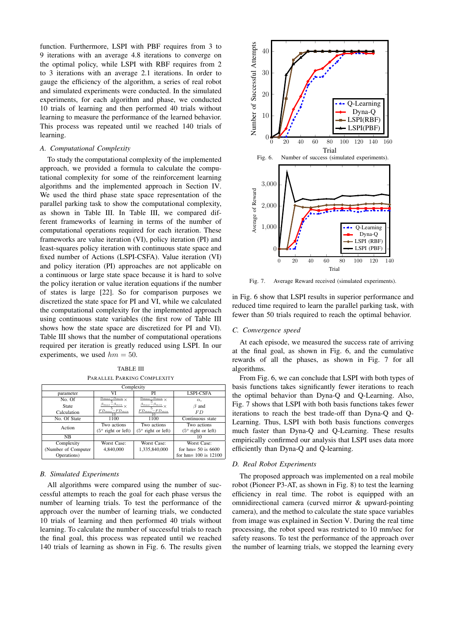function. Furthermore, LSPI with PBF requires from 3 to 9 iterations with an average 4.8 iterations to converge on the optimal policy, while LSPI with RBF requires from 2 to 3 iterations with an average 2.1 iterations. In order to gauge the efficiency of the algorithm, a series of real robot and simulated experiments were conducted. In the simulated experiments, for each algorithm and phase, we conducted 10 trials of learning and then performed 40 trials without learning to measure the performance of the learned behavior. This process was repeated until we reached 140 trials of learning.

# <span id="page-6-0"></span>*A. Computational Complexity*

To study the computational complexity of the implemented approach, we provided a formula to calculate the computational complexity for some of the reinforcement learning algorithms and the implemented approach in Section [IV.](#page-2-0) We used the third phase state space representation of the parallel parking task to show the computational complexity, as shown in Table [III.](#page-6-1) In Table [III,](#page-6-1) we compared different frameworks of learning in terms of the number of computational operations required for each iteration. These frameworks are value iteration (VI), policy iteration (PI) and least-squares policy iteration with continuous state space and fixed number of Actions (LSPI-CSFA). Value iteration (VI) and policy iteration (PI) approaches are not applicable on a continuous or large state space because it is hard to solve the policy iteration or value iteration equations if the number of states is large [22]. So for comparison purposes we discretized the state space for PI and VI, while we calculated the computational complexity for the implemented approach using continuous state variables (the first row of Table [III](#page-6-1) shows how the state space are discretized for PI and VI). Table [III](#page-6-1) shows that the number of computational operations required per iteration is greatly reduced using LSPI. In our experiments, we used  $hm = 50$ .

TABLE III PARALLEL PARKING COMPLEXITY

<span id="page-6-1"></span>

| Complexity           |                                                |                                                |                             |  |  |  |
|----------------------|------------------------------------------------|------------------------------------------------|-----------------------------|--|--|--|
| parameter            | VI                                             | PI                                             | <b>LSPI-CSFA</b>            |  |  |  |
| No. Of               | $\frac{\alpha_{max} - \alpha_{min}}{5} \times$ | $\frac{\alpha_{max} - \alpha_{min}}{5} \times$ | $\alpha$ .                  |  |  |  |
| State                | $\frac{\beta_{max}-\beta_{min}}{\times}$       | $\frac{\beta_{max}-\beta_{min}}{\times}$       | $\beta$ and                 |  |  |  |
| Calculation          | $\frac{FD_{max}-FD_{min}}{10}$                 | $\frac{FD_{max}-FD_{min}}{10}$                 | F D                         |  |  |  |
| No. Of State         | 1100                                           | 1100                                           | Continuous state            |  |  |  |
| Action               | Two actions                                    | Two actions                                    | Two actions                 |  |  |  |
|                      | $(5^{\circ}$ right or left)                    | $(5^{\circ}$ right or left)                    | $(5^{\circ}$ right or left) |  |  |  |
| NB                   |                                                |                                                | 10                          |  |  |  |
| Complexity           | Worst Case:                                    | Worst Case:                                    | Worst Case:                 |  |  |  |
| (Number of Computer) | 4,840,000                                      | 1,335,840,000                                  | for $hm = 50$ is 6600       |  |  |  |
| Operations)          |                                                |                                                | for $hm = 100$ is $12100$   |  |  |  |

# *B. Simulated Experiments*

All algorithms were compared using the number of successful attempts to reach the goal for each phase versus the number of learning trials. To test the performance of the approach over the number of learning trials, we conducted 10 trials of learning and then performed 40 trials without learning. To calculate the number of successful trials to reach the final goal, this process was repeated until we reached 140 trials of learning as shown in Fig. [6.](#page-6-2) The results given

<span id="page-6-2"></span>

<span id="page-6-3"></span>Fig. 7. Average Reward received (simulated experiments).

in Fig. [6](#page-6-2) show that LSPI results in superior performance and reduced time required to learn the parallel parking task, with fewer than 50 trials required to reach the optimal behavior.

# *C. Convergence speed*

At each episode, we measured the success rate of arriving at the final goal, as shown in Fig. [6,](#page-6-2) and the cumulative rewards of all the phases, as shown in Fig. [7](#page-6-3) for all algorithms.

From Fig. [6,](#page-6-2) we can conclude that LSPI with both types of basis functions takes significantly fewer iterations to reach the optimal behavior than Dyna-Q and Q-Learning. Also, Fig. [7](#page-6-3) shows that LSPI with both basis functions takes fewer iterations to reach the best trade-off than Dyna-Q and Q-Learning. Thus, LSPI with both basis functions converges much faster than Dyna-Q and Q-Learning. These results empirically confirmed our analysis that LSPI uses data more efficiently than Dyna-Q and Q-learning.

## *D. Real Robot Experiments*

The proposed approach was implemented on a real mobile robot (Pioneer P3-AT, as shown in Fig. [8\)](#page-7-1) to test the learning efficiency in real time. The robot is equipped with an omnidirectional camera (curved mirror & upward-pointing camera), and the method to calculate the state space variables from image was explained in Section [V.](#page-3-0) During the real time processing, the robot speed was restricted to 10 mm/sec for safety reasons. To test the performance of the approach over the number of learning trials, we stopped the learning every